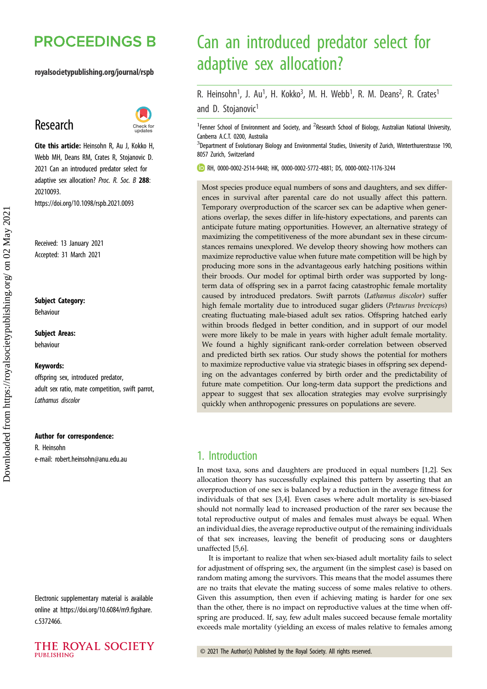# **PROCEEDINGS B**

## royalsocietypublishing.org/journal/rspb

# Research



Cite this article: Heinsohn R, Au J, Kokko H, Webb MH, Deans RM, Crates R, Stojanovic D. 2021 Can an introduced predator select for adaptive sex allocation? Proc. R. Soc. B 288: 20210093.

https://doi.org/10.1098/rspb.2021.0093

Received: 13 January 2021 Accepted: 31 March 2021

## Subject Category:

Behaviour

## Subject Areas: behaviour

#### Keywords:

offspring sex, introduced predator, adult sex ratio, mate competition, swift parrot, Lathamus discolor

#### Author for correspondence:

R. Heinsohn e-mail: [robert.heinsohn@anu.edu.au](mailto:robert.heinsohn@anu.edu.au)

Electronic supplementary material is available online at [https://doi.org/10.6084/m9.figshare.](https://doi.org/10.6084/m9.figshare.c.5372466) [c.5372466.](https://doi.org/10.6084/m9.figshare.c.5372466)

# Can an introduced predator select for adaptive sex allocation?

R. Heinsohn<sup>1</sup>, J. Au<sup>1</sup>, H. Kokko<sup>3</sup>, M. H. Webb<sup>1</sup>, R. M. Deans<sup>2</sup>, R. Crates<sup>1</sup> and D. Stojanovic<sup>1</sup>

<sup>1</sup> Fenner School of Environment and Society, and <sup>2</sup> Research School of Biology, Australian National University, Canberra A.C.T. 0200, Australia

<sup>3</sup>Department of Evolutionary Biology and Environmental Studies, University of Zurich, Winterthurerstrasse 190, 8057 Zurich, Switzerland

RH, [0000-0002-2514-9448](http://orcid.org/0000-0002-2514-9448); HK, [0000-0002-5772-4881;](http://orcid.org/0000-0002-5772-4881) DS, [0000-0002-1176-3244](http://orcid.org/0000-0002-1176-3244)

Most species produce equal numbers of sons and daughters, and sex differences in survival after parental care do not usually affect this pattern. Temporary overproduction of the scarcer sex can be adaptive when generations overlap, the sexes differ in life-history expectations, and parents can anticipate future mating opportunities. However, an alternative strategy of maximizing the competitiveness of the more abundant sex in these circumstances remains unexplored. We develop theory showing how mothers can maximize reproductive value when future mate competition will be high by producing more sons in the advantageous early hatching positions within their broods. Our model for optimal birth order was supported by longterm data of offspring sex in a parrot facing catastrophic female mortality caused by introduced predators. Swift parrots (Lathamus discolor) suffer high female mortality due to introduced sugar gliders (Petaurus breviceps) creating fluctuating male-biased adult sex ratios. Offspring hatched early within broods fledged in better condition, and in support of our model were more likely to be male in years with higher adult female mortality. We found a highly significant rank-order correlation between observed and predicted birth sex ratios. Our study shows the potential for mothers to maximize reproductive value via strategic biases in offspring sex depending on the advantages conferred by birth order and the predictability of future mate competition. Our long-term data support the predictions and appear to suggest that sex allocation strategies may evolve surprisingly quickly when anthropogenic pressures on populations are severe.

## 1. Introduction

In most taxa, sons and daughters are produced in equal numbers [\[1,2](#page-6-0)]. Sex allocation theory has successfully explained this pattern by asserting that an overproduction of one sex is balanced by a reduction in the average fitness for individuals of that sex [\[3,4](#page-6-0)]. Even cases where adult mortality is sex-biased should not normally lead to increased production of the rarer sex because the total reproductive output of males and females must always be equal. When an individual dies, the average reproductive output of the remaining individuals of that sex increases, leaving the benefit of producing sons or daughters unaffected [[5,6\]](#page-6-0).

It is important to realize that when sex-biased adult mortality fails to select for adjustment of offspring sex, the argument (in the simplest case) is based on random mating among the survivors. This means that the model assumes there are no traits that elevate the mating success of some males relative to others. Given this assumption, then even if achieving mating is harder for one sex than the other, there is no impact on reproductive values at the time when offspring are produced. If, say, few adult males succeed because female mortality exceeds male mortality (yielding an excess of males relative to females among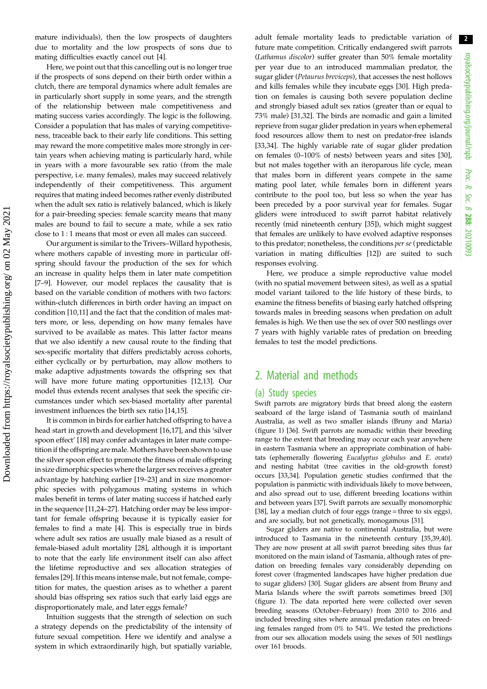2

mature individuals), then the low prospects of daughters due to mortality and the low prospects of sons due to mating difficulties exactly cancel out [[4](#page-6-0)].

Here, we point out that this cancelling out is no longer true if the prospects of sons depend on their birth order within a clutch, there are temporal dynamics where adult females are in particularly short supply in some years, and the strength of the relationship between male competitiveness and mating success varies accordingly. The logic is the following. Consider a population that has males of varying competitiveness, traceable back to their early life conditions. This setting may reward the more competitive males more strongly in certain years when achieving mating is particularly hard, while in years with a more favourable sex ratio (from the male perspective, i.e. many females), males may succeed relatively independently of their competitiveness. This argument requires that mating indeed becomes rather evenly distributed when the adult sex ratio is relatively balanced, which is likely for a pair-breeding species: female scarcity means that many males are bound to fail to secure a mate, while a sex ratio close to 1 : 1 means that most or even all males can succeed.

Our argument is similar to the Trivers–Willard hypothesis, where mothers capable of investing more in particular offspring should favour the production of the sex for which an increase in quality helps them in later mate competition [\[7](#page-6-0)–[9\]](#page-6-0). However, our model replaces the causality that is based on the variable condition of mothers with two factors: within-clutch differences in birth order having an impact on condition [\[10,11\]](#page-6-0) and the fact that the condition of males matters more, or less, depending on how many females have survived to be available as mates. This latter factor means that we also identify a new causal route to the finding that sex-specific mortality that differs predictably across cohorts, either cyclically or by perturbation, may allow mothers to make adaptive adjustments towards the offspring sex that will have more future mating opportunities [[12,13](#page-6-0)]. Our model thus extends recent analyses that seek the specific circumstances under which sex-biased mortality after parental investment influences the birth sex ratio [[14,15](#page-6-0)].

It is common in birds for earlier hatched offspring to have a head start in growth and development [\[16](#page-6-0),[17\]](#page-6-0), and this 'silver spoon effect' [\[18](#page-6-0)] may confer advantages in later mate competition if the offspring are male. Mothers have been shown to use the silver spoon effect to promote the fitness of male offspring in size dimorphic species where the larger sex receives a greater advantage by hatching earlier [\[19](#page-6-0)–[23](#page-6-0)] and in size monomorphic species with polygamous mating systems in which males benefit in terms of later mating success if hatched early in the sequence [\[11,24](#page-6-0)–[27\]](#page-6-0). Hatching order may be less important for female offspring because it is typically easier for females to find a mate [[4](#page-6-0)]. This is especially true in birds where adult sex ratios are usually male biased as a result of female-biased adult mortality [\[28](#page-6-0)], although it is important to note that the early life environment itself can also affect the lifetime reproductive and sex allocation strategies of females [[29\]](#page-6-0). If this means intense male, but not female, competition for mates, the question arises as to whether a parent should bias offspring sex ratios such that early laid eggs are disproportionately male, and later eggs female?

Intuition suggests that the strength of selection on such a strategy depends on the predictability of the intensity of future sexual competition. Here we identify and analyse a system in which extraordinarily high, but spatially variable, adult female mortality leads to predictable variation of future mate competition. Critically endangered swift parrots (Lathamus discolor) suffer greater than 50% female mortality per year due to an introduced mammalian predator, the sugar glider (Petaurus breviceps), that accesses the nest hollows and kills females while they incubate eggs [\[30](#page-6-0)]. High predation on females is causing both severe population decline and strongly biased adult sex ratios (greater than or equal to 73% male) [[31,32](#page-6-0)]. The birds are nomadic and gain a limited reprieve from sugar glider predation in years when ephemeral food resources allow them to nest on predator-free islands [[33,34\]](#page-6-0). The highly variable rate of sugar glider predation on females (0–100% of nests) between years and sites [[30\]](#page-6-0), but not males together with an iteroparous life cycle, mean that males born in different years compete in the same mating pool later, while females born in different years contribute to the pool too, but less so when the year has been preceded by a poor survival year for females. Sugar gliders were introduced to swift parrot habitat relatively recently (mid nineteenth century [[35\]](#page-6-0)), which might suggest that females are unlikely to have evolved adaptive responses to this predator; nonetheless, the conditions per se (predictable variation in mating difficulties [\[12](#page-6-0)]) are suited to such responses evolving.

Here, we produce a simple reproductive value model (with no spatial movement between sites), as well as a spatial model variant tailored to the life history of these birds, to examine the fitness benefits of biasing early hatched offspring towards males in breeding seasons when predation on adult females is high. We then use the sex of over 500 nestlings over 7 years with highly variable rates of predation on breeding females to test the model predictions.

## 2. Material and methods

### (a) Study species

Swift parrots are migratory birds that breed along the eastern seaboard of the large island of Tasmania south of mainland Australia, as well as two smaller islands (Bruny and Maria) ([figure 1\)](#page-2-0) [\[36\]](#page-6-0). Swift parrots are nomadic within their breeding range to the extent that breeding may occur each year anywhere in eastern Tasmania where an appropriate combination of habitats (ephemerally flowering Eucalyptus globulus and E. ovata) and nesting habitat (tree cavities in the old-growth forest) occurs [\[33,34](#page-6-0)]. Population genetic studies confirmed that the population is panmictic with individuals likely to move between, and also spread out to use, different breeding locations within and between years [[37](#page-6-0)]. Swift parrots are sexually monomorphic [[38](#page-6-0)], lay a median clutch of four eggs (range = three to six eggs), and are socially, but not genetically, monogamous [[31](#page-6-0)].

Sugar gliders are native to continental Australia, but were introduced to Tasmania in the nineteenth century [\[35,39](#page-6-0)[,40\]](#page-7-0). They are now present at all swift parrot breeding sites thus far monitored on the main island of Tasmania, although rates of predation on breeding females vary considerably depending on forest cover (fragmented landscapes have higher predation due to sugar gliders) [\[30\]](#page-6-0). Sugar gliders are absent from Bruny and Maria Islands where the swift parrots sometimes breed [\[30\]](#page-6-0) ([figure 1\)](#page-2-0). The data reported here were collected over seven breeding seasons (October–February) from 2010 to 2016 and included breeding sites where annual predation rates on breeding females ranged from 0% to 54%. We tested the predictions from our sex allocation models using the sexes of 501 nestlings over 161 broods.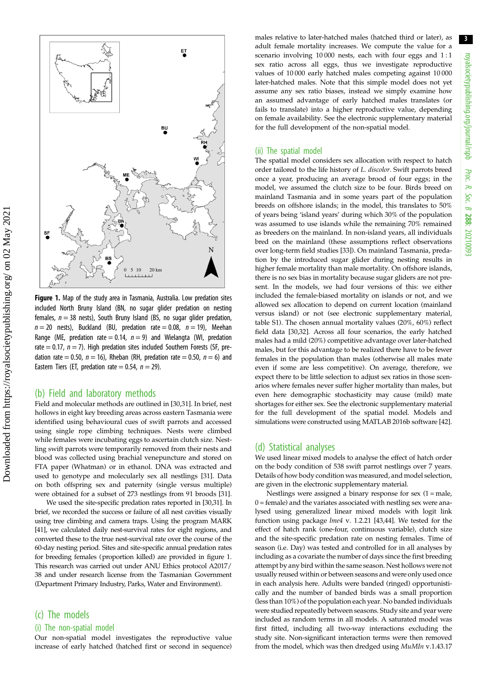3

<span id="page-2-0"></span>

Figure 1. Map of the study area in Tasmania, Australia. Low predation sites included North Bruny Island (BN, no sugar glider predation on nesting females,  $n = 38$  nests), South Bruny Island (BS, no sugar glider predation,  $n = 20$  nests), Buckland (BU, predation rate = 0.08,  $n = 19$ ), Meehan Range (ME, predation rate  $= 0.14$ ,  $n = 9$ ) and Wielangta (WI, predation rate  $= 0.17$ ,  $n = 7$ ). High predation sites included Southern Forests (SF, predation rate = 0.50,  $n = 16$ ), Rheban (RH, predation rate = 0.50,  $n = 6$ ) and Eastern Tiers (ET, predation rate  $= 0.54$ ,  $n = 29$ ).

## (b) Field and laboratory methods

Field and molecular methods are outlined in [[30,31\]](#page-6-0). In brief, nest hollows in eight key breeding areas across eastern Tasmania were identified using behavioural cues of swift parrots and accessed using single rope climbing techniques. Nests were climbed while females were incubating eggs to ascertain clutch size. Nestling swift parrots were temporarily removed from their nests and blood was collected using brachial venepuncture and stored on FTA paper (Whatman) or in ethanol. DNA was extracted and used to genotype and molecularly sex all nestlings [\[31](#page-6-0)]. Data on both offspring sex and paternity (single versus multiple) were obtained for a subset of 273 nestlings from 91 broods [\[31\]](#page-6-0).

We used the site-specific predation rates reported in [\[30,31\]](#page-6-0). In brief, we recorded the success or failure of all nest cavities visually using tree climbing and camera traps. Using the program MARK [\[41](#page-7-0)], we calculated daily nest-survival rates for eight regions, and converted these to the true nest-survival rate over the course of the 60-day nesting period. Sites and site-specific annual predation rates for breeding females (proportion killed) are provided in figure 1. This research was carried out under ANU Ethics protocol A2017/ 38 and under research license from the Tasmanian Government (Department Primary Industry, Parks, Water and Environment).

## (c) The models

#### (i) The non-spatial model

Our non-spatial model investigates the reproductive value increase of early hatched (hatched first or second in sequence) males relative to later-hatched males (hatched third or later), as adult female mortality increases. We compute the value for a scenario involving 10 000 nests, each with four eggs and 1 : 1 sex ratio across all eggs, thus we investigate reproductive values of 10 000 early hatched males competing against 10 000 later-hatched males. Note that this simple model does not yet assume any sex ratio biases, instead we simply examine how an assumed advantage of early hatched males translates (or fails to translate) into a higher reproductive value, depending on female availability. See the electronic supplementary material for the full development of the non-spatial model.

#### (ii) The spatial model

The spatial model considers sex allocation with respect to hatch order tailored to the life history of L. discolor. Swift parrots breed once a year, producing an average brood of four eggs; in the model, we assumed the clutch size to be four. Birds breed on mainland Tasmania and in some years part of the population breeds on offshore islands; in the model, this translates to 50% of years being 'island years' during which 30% of the population was assumed to use islands while the remaining 70% remained as breeders on the mainland. In non-island years, all individuals bred on the mainland (these assumptions reflect observations over long-term field studies [[33](#page-6-0)]). On mainland Tasmania, predation by the introduced sugar glider during nesting results in higher female mortality than male mortality. On offshore islands, there is no sex bias in mortality because sugar gliders are not present. In the models, we had four versions of this: we either included the female-biased mortality on islands or not, and we allowed sex allocation to depend on current location (mainland versus island) or not (see electronic supplementary material, table S1). The chosen annual mortality values (20%, 60%) reflect field data [\[30,32](#page-6-0)]. Across all four scenarios, the early hatched males had a mild (20%) competitive advantage over later-hatched males, but for this advantage to be realized there have to be fewer females in the population than males (otherwise all males mate even if some are less competitive). On average, therefore, we expect there to be little selection to adjust sex ratios in those scenarios where females never suffer higher mortality than males, but even here demographic stochasticity may cause (mild) mate shortages for either sex. See the electronic supplementary material for the full development of the spatial model. Models and simulations were constructed using MATLAB 2016b software [[42](#page-7-0)].

### (d) Statistical analyses

We used linear mixed models to analyse the effect of hatch order on the body condition of 538 swift parrot nestlings over 7 years. Details of how body condition was measured, and model selection, are given in the electronic supplementary material.

Nestlings were assigned a binary response for sex  $(1 = male,$  $0 =$  female) and the variates associated with nestling sex were analysed using generalized linear mixed models with logit link function using package lme4 v. 1.2.21 [[43,44\]](#page-7-0). We tested for the effect of hatch rank (one-four, continuous variable), clutch size and the site-specific predation rate on nesting females. Time of season (i.e. Day) was tested and controlled for in all analyses by including as a covariate the number of days since the first breeding attempt by any bird within the same season. Nest hollows were not usually reused within or between seasons and were only used once in each analysis here. Adults were banded (ringed) opportunistically and the number of banded birds was a small proportion (less than 10%) of the population each year. No banded individuals were studied repeatedly between seasons. Study site and year were included as random terms in all models. A saturated model was first fitted, including all two-way interactions excluding the study site. Non-significant interaction terms were then removed from the model, which was then dredged using MuMIn v.1.43.17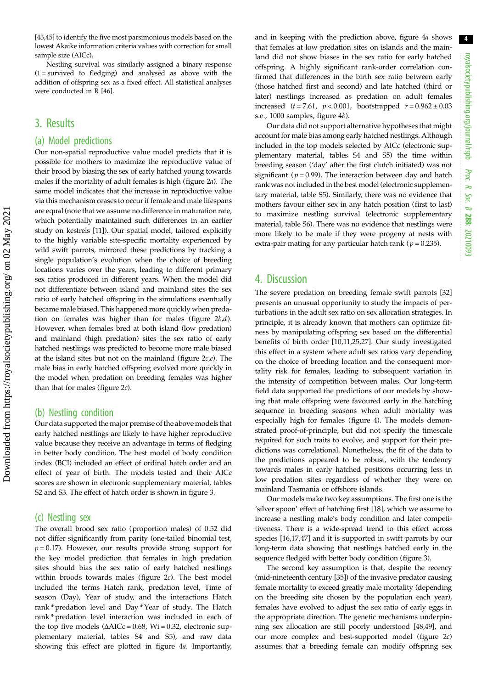4 royalsocietypublishing.org/journal/rspb royalsocietypublishing.org/journal/rspb Proc. R. Soc. $\sigma$ 288: 20210093

[\[43,45](#page-7-0)] to identify the five most parsimonious models based on the lowest Akaike information criteria values with correction for small sample size (AICc).

Nestling survival was similarly assigned a binary response  $(1 =$  survived to fledging) and analysed as above with the addition of offspring sex as a fixed effect. All statistical analyses were conducted in R [\[46\]](#page-7-0).

## 3. Results

## (a) Model predictions

Our non-spatial reproductive value model predicts that it is possible for mothers to maximize the reproductive value of their brood by biasing the sex of early hatched young towards males if the mortality of adult females is high [\(figure 2](#page-4-0)a). The same model indicates that the increase in reproductive value via this mechanism ceases to occur if female and male lifespans are equal (note that we assume no difference in maturation rate, which potentially maintained such differences in an earlier study on kestrels [\[11\]](#page-6-0)). Our spatial model, tailored explicitly to the highly variable site-specific mortality experienced by wild swift parrots, mirrored these predictions by tracking a single population's evolution when the choice of breeding locations varies over the years, leading to different primary sex ratios produced in different years. When the model did not differentiate between island and mainland sites the sex ratio of early hatched offspring in the simulations eventually became male biased. This happened more quickly when predation on females was higher than for males (figure  $2b,d$ ). However, when females bred at both island (low predation) and mainland (high predation) sites the sex ratio of early hatched nestlings was predicted to become more male biased at the island sites but not on the mainland (figure  $2c,e$ ). The male bias in early hatched offspring evolved more quickly in the model when predation on breeding females was higher than that for males ([figure 2](#page-4-0)c).

## (b) Nestling condition

Our data supported the major premise of the above models that early hatched nestlings are likely to have higher reproductive value because they receive an advantage in terms of fledging in better body condition. The best model of body condition index (BCI) included an effect of ordinal hatch order and an effect of year of birth. The models tested and their AICc scores are shown in electronic supplementary material, tables S2 and S3. The effect of hatch order is shown in [figure 3.](#page-5-0)

## (c) Nestling sex

The overall brood sex ratio (proportion males) of 0.52 did not differ significantly from parity (one-tailed binomial test,  $p = 0.17$ ). However, our results provide strong support for the key model prediction that females in high predation sites should bias the sex ratio of early hatched nestlings within broods towards males ([figure 2](#page-4-0)c). The best model included the terms Hatch rank, predation level, Time of season (Day), Year of study, and the interactions Hatch rank \* predation level and Day \* Year of study. The Hatch rank \* predation level interaction was included in each of the top five models  $(\Delta AICc = 0.68, Wi = 0.32, electronic sup$ plementary material, tables S4 and S5), and raw data showing this effect are plotted in [figure 4](#page-5-0)a. Importantly, and in keeping with the prediction above, [figure 4](#page-5-0)a shows that females at low predation sites on islands and the mainland did not show biases in the sex ratio for early hatched offspring. A highly significant rank-order correlation confirmed that differences in the birth sex ratio between early (those hatched first and second) and late hatched (third or later) nestlings increased as predation on adult females increased  $(t = 7.61, p < 0.001,$  bootstrapped  $r = 0.962 \pm 0.03$ s.e., 1000 samples, [figure 4](#page-5-0)b).

Our data did not support alternative hypotheses that might account for male bias among early hatched nestlings. Although included in the top models selected by AICc (electronic supplementary material, tables S4 and S5) the time within breeding season ('day' after the first clutch initiated) was not significant ( $p = 0.99$ ). The interaction between day and hatch rank was not included in the best model (electronic supplementary material, table S5). Similarly, there was no evidence that mothers favour either sex in any hatch position (first to last) to maximize nestling survival (electronic supplementary material, table S6). There was no evidence that nestlings were more likely to be male if they were progeny at nests with extra-pair mating for any particular hatch rank ( $p = 0.235$ ).

## 4. Discussion

The severe predation on breeding female swift parrots [[32\]](#page-6-0) presents an unusual opportunity to study the impacts of perturbations in the adult sex ratio on sex allocation strategies. In principle, it is already known that mothers can optimize fitness by manipulating offspring sex based on the differential benefits of birth order [[10,11](#page-6-0),[25,27\]](#page-6-0). Our study investigated this effect in a system where adult sex ratios vary depending on the choice of breeding location and the consequent mortality risk for females, leading to subsequent variation in the intensity of competition between males. Our long-term field data supported the predictions of our models by showing that male offspring were favoured early in the hatching sequence in breeding seasons when adult mortality was especially high for females ([figure 4](#page-5-0)). The models demonstrated proof-of-principle, but did not specify the timescale required for such traits to evolve, and support for their predictions was correlational. Nonetheless, the fit of the data to the predictions appeared to be robust, with the tendency towards males in early hatched positions occurring less in low predation sites regardless of whether they were on mainland Tasmania or offshore islands.

Our models make two key assumptions. The first one is the 'silver spoon' effect of hatching first [[18\]](#page-6-0), which we assume to increase a nestling male's body condition and later competitiveness. There is a wide-spread trend to this effect across species [\[16,17](#page-6-0)[,47](#page-7-0)] and it is supported in swift parrots by our long-term data showing that nestlings hatched early in the sequence fledged with better body condition ([figure 3](#page-5-0)).

The second key assumption is that, despite the recency (mid-nineteenth century [\[35](#page-6-0)]) of the invasive predator causing female mortality to exceed greatly male mortality (depending on the breeding site chosen by the population each year), females have evolved to adjust the sex ratio of early eggs in the appropriate direction. The genetic mechanisms underpinning sex allocation are still poorly understood [\[48,49](#page-7-0)], and our more complex and best-supported model ([figure 2](#page-4-0)c) assumes that a breeding female can modify offspring sex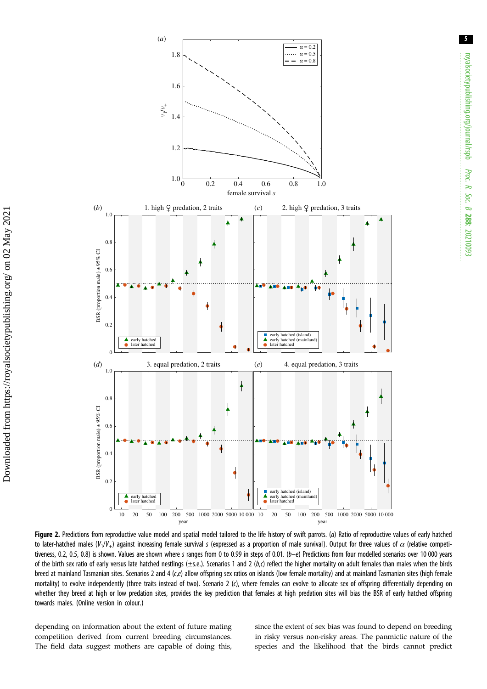<span id="page-4-0"></span>

Figure 2. Predictions from reproductive value model and spatial model tailored to the life history of swift parrots. (a) Ratio of reproductive values of early hatched to later-hatched males (V<sub>1</sub>/V<sub>+</sub>) against increasing female survival s (expressed as a proportion of male survival). Output for three values of  $\alpha$  (relative competitiveness, 0.2, 0.5, 0.8) is shown. Values are shown where s ranges from 0 to 0.99 in steps of 0.01.  $(b-e)$  Predictions from four modelled scenarios over 10 000 years of the birth sex ratio of early versus late hatched nestlings ( $\pm$ s.e.). Scenarios 1 and 2 (b,c) reflect the higher mortality on adult females than males when the birds breed at mainland Tasmanian sites. Scenarios 2 and 4 (c,e) allow offspring sex ratios on islands (low female mortality) and at mainland Tasmanian sites (high female mortality) to evolve independently (three traits instead of two). Scenario 2 (c), where females can evolve to allocate sex of offspring differentially depending on whether they breed at high or low predation sites, provides the key prediction that females at high predation sites will bias the BSR of early hatched offspring towards males. (Online version in colour.)

depending on information about the extent of future mating competition derived from current breeding circumstances. The field data suggest mothers are capable of doing this, since the extent of sex bias was found to depend on breeding in risky versus non-risky areas. The panmictic nature of the species and the likelihood that the birds cannot predict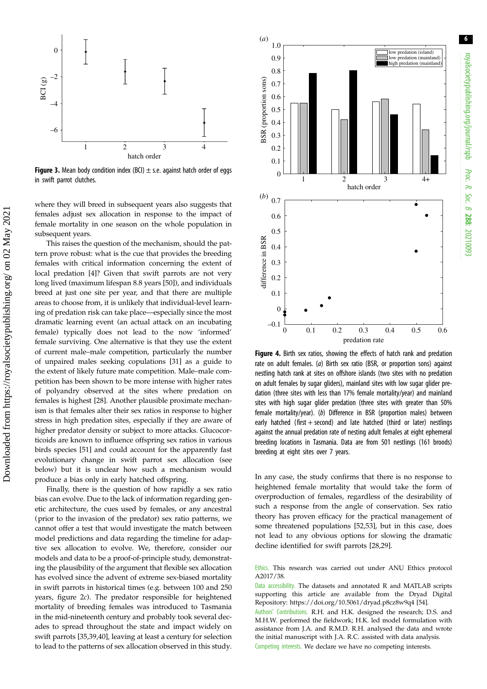<span id="page-5-0"></span>

**Figure 3.** Mean body condition index (BCI)  $\pm$  s.e. against hatch order of eggs in swift parrot clutches.

where they will breed in subsequent years also suggests that females adjust sex allocation in response to the impact of female mortality in one season on the whole population in subsequent years.

This raises the question of the mechanism, should the pattern prove robust: what is the cue that provides the breeding females with critical information concerning the extent of local predation [\[4](#page-6-0)]? Given that swift parrots are not very long lived (maximum lifespan 8.8 years [\[50](#page-7-0)]), and individuals breed at just one site per year, and that there are multiple areas to choose from, it is unlikely that individual-level learning of predation risk can take place—especially since the most dramatic learning event (an actual attack on an incubating female) typically does not lead to the now 'informed' female surviving. One alternative is that they use the extent of current male–male competition, particularly the number of unpaired males seeking copulations [\[31](#page-6-0)] as a guide to the extent of likely future mate competition. Male–male competition has been shown to be more intense with higher rates of polyandry observed at the sites where predation on females is highest [[28\]](#page-6-0). Another plausible proximate mechanism is that females alter their sex ratios in response to higher stress in high predation sites, especially if they are aware of higher predator density or subject to more attacks. Glucocorticoids are known to influence offspring sex ratios in various birds species [\[51](#page-7-0)] and could account for the apparently fast evolutionary change in swift parrot sex allocation (see below) but it is unclear how such a mechanism would produce a bias only in early hatched offspring.

Finally, there is the question of how rapidly a sex ratio bias can evolve. Due to the lack of information regarding genetic architecture, the cues used by females, or any ancestral (prior to the invasion of the predator) sex ratio patterns, we cannot offer a test that would investigate the match between model predictions and data regarding the timeline for adaptive sex allocation to evolve. We, therefore, consider our models and data to be a proof-of-principle study, demonstrating the plausibility of the argument that flexible sex allocation has evolved since the advent of extreme sex-biased mortality in swift parrots in historical times (e.g. between 100 and 250 years, [figure 2](#page-4-0)c). The predator responsible for heightened mortality of breeding females was introduced to Tasmania in the mid-nineteenth century and probably took several decades to spread throughout the state and impact widely on swift parrots [[35,39](#page-6-0)[,40](#page-7-0)], leaving at least a century for selection to lead to the patterns of sex allocation observed in this study.



Figure 4. Birth sex ratios, showing the effects of hatch rank and predation rate on adult females. (a) Birth sex ratio (BSR, or proportion sons) against nestling hatch rank at sites on offshore islands (two sites with no predation on adult females by sugar gliders), mainland sites with low sugar glider predation (three sites with less than 17% female mortality/year) and mainland sites with high sugar glider predation (three sites with greater than 50% female mortality/year). (b) Difference in BSR (proportion males) between early hatched (first  $+$  second) and late hatched (third or later) nestlings against the annual predation rate of nesting adult females at eight ephemeral breeding locations in Tasmania. Data are from 501 nestlings (161 broods) breeding at eight sites over 7 years.

In any case, the study confirms that there is no response to heightened female mortality that would take the form of overproduction of females, regardless of the desirability of such a response from the angle of conservation. Sex ratio theory has proven efficacy for the practical management of some threatened populations [[52,53](#page-7-0)], but in this case, does not lead to any obvious options for slowing the dramatic decline identified for swift parrots [[28](#page-6-0),[29\]](#page-6-0).

Ethics. This research was carried out under ANU Ethics protocol A2017/38.

Data accessibility. The datasets and annotated R and MATLAB scripts supporting this article are available from the Dryad Digital Repository:<https://doi.org/10.5061/dryad.p8cz8w9q4> [[54\]](#page-7-0).

Authors' Contributions. R.H. and H.K. designed the research; D.S. and M.H.W. performed the fieldwork; H.K. led model formulation with assistance from J.A. and R.M.D. R.H. analysed the data and wrote the initial manuscript with J.A. R.C. assisted with data analysis. Competing interests. We declare we have no competing interests.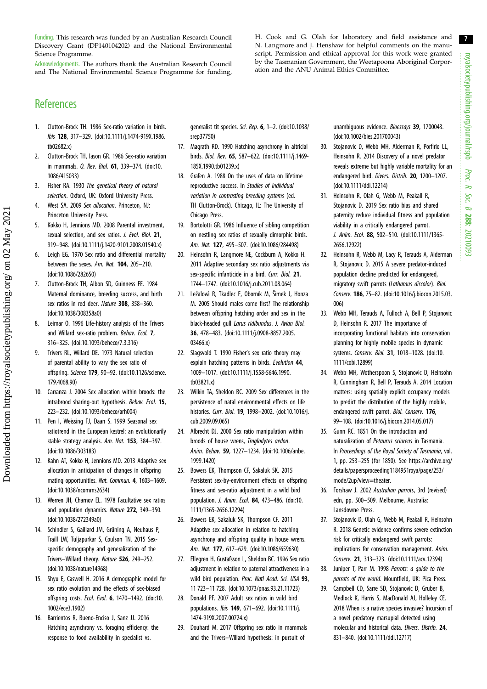royalsocietypublishing.org/journal/rspb royalsocietypublishing.org/journal/rspb Proc. R. Soc. $\sigma$ 288: 20210093

7

<span id="page-6-0"></span>Funding. This research was funded by an Australian Research Council Discovery Grant (DP140104202) and the National Environmental Science Programme.

Acknowledgements. The authors thank the Australian Research Council and The National Environmental Science Programme for funding, H. Cook and G. Olah for laboratory and field assistance and N. Langmore and J. Henshaw for helpful comments on the manuscript. Permission and ethical approval for this work were granted by the Tasmanian Government, the Weetapoona Aboriginal Corporation and the ANU Animal Ethics Committee.

## References

- 1. Clutton-Brock TH. 1986 Sex-ratio variation in birds. Ibis 128, 317–329. ([doi:10.1111/j.1474-919X.1986.](http://dx.doi.org/10.1111/j.1474-919X.1986.tb02682.x) [tb02682.x](http://dx.doi.org/10.1111/j.1474-919X.1986.tb02682.x))
- 2. Clutton-Brock TH, Iason GR. 1986 Sex-ratio variation in mammals. Q. Rev. Biol. 61, 339–374. [\(doi:10.](http://dx.doi.org/10.1086/415033) [1086/415033](http://dx.doi.org/10.1086/415033))
- 3. Fisher RA. 1930 The genetical theory of natural selection. Oxford, UK: Oxford University Press.
- 4. West SA. 2009 Sex allocation. Princeton, NJ: Princeton University Press.
- 5. Kokko H, Jennions MD. 2008 Parental investment, sexual selection, and sex ratios. J. Evol. Biol. 21, 919–948. ([doi:10.1111/j.1420-9101.2008.01540.x\)](http://dx.doi.org/10.1111/j.1420-9101.2008.01540.x)
- 6. Leigh EG. 1970 Sex ratio and differential mortality between the sexes. Am. Nat. 104, 205-210. [\(doi:10.1086/282650](http://dx.doi.org/10.1086/282650))
- 7. Clutton-Brock TH, Albon SD, Guinness FE. 1984 Maternal dominance, breeding success, and birth sex ratios in red deer. Nature 308, 358–360. [\(doi:10.1038/308358a0\)](http://dx.doi.org/10.1038/308358a0)
- 8. Leimar O. 1996 Life-history analysis of the Trivers and Willard sex-ratio problem. Behav. Ecol. 7, 316–325. ([doi:10.1093/beheco/7.3.316\)](http://dx.doi.org/10.1093/beheco/7.3.316)

Downloaded from https://royalsocietypublishing.org/ on 02 May 2021

Downloaded from https://royalsocietypublishing.org/ on 02 May 2021

- 9. Trivers RL, Willard DE. 1973 Natural selection of parental ability to vary the sex ratio of offspring. Science 179, 90–92. ([doi:10.1126/science.](http://dx.doi.org/10.1126/science.179.4068.90) [179.4068.90\)](http://dx.doi.org/10.1126/science.179.4068.90)
- 10. Carranza J. 2004 Sex allocation within broods: the intrabrood sharing-out hypothesis. Behav. Ecol. 15, 223–232. ([doi:10.1093/beheco/arh004](http://dx.doi.org/10.1093/beheco/arh004))
- 11. Pen I, Weissing FJ, Daan S. 1999 Seasonal sex ratiotrend in the European kestrel: an evolutionarily stable strategy analysis. Am. Nat. 153, 384–397. [\(doi:10.1086/303183](http://dx.doi.org/10.1086/303183))
- 12. Kahn AT, Kokko H, Jennions MD. 2013 Adaptive sex allocation in anticipation of changes in offspring mating opportunities. Nat. Commun. 4, 1603–1609. [\(doi:10.1038/ncomms2634\)](http://dx.doi.org/10.1038/ncomms2634)
- 13. Werren JH, Charnov EL. 1978 Facultative sex ratios and population dynamics. Nature 272, 349–350. [\(doi:10.1038/272349a0\)](http://dx.doi.org/10.1038/272349a0)
- 14. Schindler S, Gaillard JM, Grüning A, Neuhaus P, Traill LW, Tuljapurkar S, Coulson TN. 2015 Sexspecific demography and generalization of the Trivers–Willard theory. Nature 526, 249–252. [\(doi:10.1038/nature14968](http://dx.doi.org/10.1038/nature14968))
- 15. Shyu E, Caswell H. 2016 A demographic model for sex ratio evolution and the effects of sex-biased offspring costs. Ecol. Evol. 6, 1470–1492. ([doi:10.](http://dx.doi.org/10.1002/ece3.1902) [1002/ece3.1902\)](http://dx.doi.org/10.1002/ece3.1902)
- 16. Barrientos R, Bueno-Enciso J, Sanz JJ. 2016 Hatching asynchrony vs. foraging efficiency: the response to food availability in specialist vs.

generalist tit species. Sci. Rep. 6, 1–2. [\(doi:10.1038/](http://dx.doi.org/10.1038/srep37750) [srep37750](http://dx.doi.org/10.1038/srep37750))

- 17. Magrath RD. 1990 Hatching asynchrony in altricial birds. Biol. Rev. 65, 587–622. ([doi:10.1111/j.1469-](http://dx.doi.org/10.1111/j.1469-185X.1990.tb01239.x) [185X.1990.tb01239.x\)](http://dx.doi.org/10.1111/j.1469-185X.1990.tb01239.x)
- 18. Grafen A. 1988 On the uses of data on lifetime reproductive success. In Studies of individual variation in contrasting breeding systems (ed. TH Clutton-Brock). Chicago, IL: The University of Chicago Press.
- 19. Bortolotti GR. 1986 Influence of sibling competition on nestling sex ratios of sexually dimorphic birds. Am. Nat. 127, 495–507. [\(doi:10.1086/284498](http://dx.doi.org/10.1086/284498))
- 20. Heinsohn R, Langmore NE, Cockburn A, Kokko H. 2011 Adaptive secondary sex ratio adjustments via sex-specific infanticide in a bird. Curr. Biol. 21, 1744–1747. [\(doi:10.1016/j.cub.2011.08.064](http://dx.doi.org/10.1016/j.cub.2011.08.064))
- 21. Ležalová R, Tkadlec E, Oborník M, Šimek J, Honza M. 2005 Should males come first? The relationship between offspring hatching order and sex in the black-headed gull Larus ridibundus. J. Avian Biol. 36, 478–483. ([doi:10.1111/j.0908-8857.2005.](http://dx.doi.org/10.1111/j.0908-8857.2005.03466.x) [03466.x](http://dx.doi.org/10.1111/j.0908-8857.2005.03466.x))
- 22. Slagsvold T. 1990 Fisher's sex ratio theory may explain hatching patterns in birds. Evolution 44, 1009–1017. [\(doi:10.1111/j.1558-5646.1990.](http://dx.doi.org/10.1111/j.1558-5646.1990.tb03821.x) [tb03821.x](http://dx.doi.org/10.1111/j.1558-5646.1990.tb03821.x))
- 23. Wilkin TA, Sheldon BC. 2009 Sex differences in the persistence of natal environmental effects on life histories. Curr. Biol. 19, 1998–2002. [\(doi:10.1016/j.](http://dx.doi.org/10.1016/j.cub.2009.09.065) [cub.2009.09.065](http://dx.doi.org/10.1016/j.cub.2009.09.065))
- 24. Albrecht DJ. 2000 Sex ratio manipulation within broods of house wrens, Troglodytes aedon. Anim. Behav. 59, 1227–1234. [\(doi:10.1006/anbe.](http://dx.doi.org/10.1006/anbe.1999.1420) [1999.1420\)](http://dx.doi.org/10.1006/anbe.1999.1420)
- 25. Bowers EK, Thompson CF, Sakaluk SK. 2015 Persistent sex-by-environment effects on offspring fitness and sex-ratio adjustment in a wild bird population. J. Anim. Ecol. 84, 473–486. ([doi:10.](http://dx.doi.org/10.1111/1365-2656.12294) [1111/1365-2656.12294\)](http://dx.doi.org/10.1111/1365-2656.12294)
- 26. Bowers EK, Sakaluk SK, Thompson CF. 2011 Adaptive sex allocation in relation to hatching asynchrony and offspring quality in house wrens. Am. Nat. 177, 617–629. [\(doi:10.1086/659630](http://dx.doi.org/10.1086/659630))
- 27. Ellegren H, Gustafsson L, Sheldon BC. 1996 Sex ratio adjustment in relation to paternal attractiveness in a wild bird population. Proc. Natl Acad. Sci. USA 93, 11 723–11 728. ([doi:10.1073/pnas.93.21.11723](http://dx.doi.org/10.1073/pnas.93.21.11723))
- 28. Donald PF. 2007 Adult sex ratios in wild bird populations. Ibis 149, 671–692. [\(doi:10.1111/j.](http://dx.doi.org/10.1111/j.1474-919X.2007.00724.x) [1474-919X.2007.00724.x\)](http://dx.doi.org/10.1111/j.1474-919X.2007.00724.x)
- 29. Douhard M. 2017 Offspring sex ratio in mammals and the Trivers–Willard hypothesis: in pursuit of

unambiguous evidence. Bioessays 39, 1700043. ([doi:10.1002/bies.201700043](http://dx.doi.org/10.1002/bies.201700043))

- 30. Stojanovic D, Webb MH, Alderman R, Porfirio LL, Heinsohn R. 2014 Discovery of a novel predator reveals extreme but highly variable mortality for an endangered bird. Divers. Distrib. 20, 1200–1207. ([doi:10.1111/ddi.12214\)](http://dx.doi.org/10.1111/ddi.12214)
- 31. Heinsohn R, Olah G, Webb M, Peakall R, Stojanovic D. 2019 Sex ratio bias and shared paternity reduce individual fitness and population viability in a critically endangered parrot. J. Anim. Ecol. 88, 502–510. [\(doi:10.1111/1365-](http://dx.doi.org/10.1111/1365-2656.12922) [2656.12922\)](http://dx.doi.org/10.1111/1365-2656.12922)
- 32. Heinsohn R, Webb M, Lacy R, Terauds A, Alderman R, Stojanovic D. 2015 A severe predator-induced population decline predicted for endangered, migratory swift parrots (Lathamus discolor). Biol. Conserv. 186, 75–82. [\(doi:10.1016/j.biocon.2015.03.](http://dx.doi.org/10.1016/j.biocon.2015.03.006) [006\)](http://dx.doi.org/10.1016/j.biocon.2015.03.006)
- 33. Webb MH, Terauds A, Tulloch A, Bell P, Stojanovic D, Heinsohn R. 2017 The importance of incorporating functional habitats into conservation planning for highly mobile species in dynamic systems. Conserv. Biol. 31, 1018–1028. [\(doi:10.](http://dx.doi.org/10.1111/cobi.12899) [1111/cobi.12899](http://dx.doi.org/10.1111/cobi.12899))
- 34. Webb MH, Wotherspoon S, Stojanovic D, Heinsohn R, Cunningham R, Bell P, Terauds A. 2014 Location matters: using spatially explicit occupancy models to predict the distribution of the highly mobile, endangered swift parrot. Biol. Conserv. 176, 99–108. [\(doi:10.1016/j.biocon.2014.05.017](http://dx.doi.org/10.1016/j.biocon.2014.05.017))
- 35. Gunn RC. 1851 On the introduction and naturalization of Petaurus sciureus in Tasmania. In Proceedings of the Royal Society of Tasmania, vol. 1, pp. 253–255 (for 1850). See [https://archive.org/](https://archive.org/details/papersproceeding1184951roya/page/253/mode/2up?view=theater) [details/papersproceeding1184951roya/page/253/](https://archive.org/details/papersproceeding1184951roya/page/253/mode/2up?view=theater) [mode/2up?view=theater.](https://archive.org/details/papersproceeding1184951roya/page/253/mode/2up?view=theater)
- 36. Forshaw J. 2002 Australian parrots, 3rd (revised) edn, pp. 500–509. Melbourne, Australia: Lansdowne Press.
- 37. Stojanovic D, Olah G, Webb M, Peakall R, Heinsohn R. 2018 Genetic evidence confirms severe extinction risk for critically endangered swift parrots: implications for conservation management. Anim. Conserv. 21, 313–323. ([doi:10.1111/acv.12394\)](http://dx.doi.org/10.1111/acv.12394)
- 38. Juniper T, Parr M. 1998 Parrots: a guide to the parrots of the world. Mountfield, UK: Pica Press.
- 39. Campbell CD, Sarre SD, Stojanovic D, Gruber B, Medlock K, Harris S, MacDonald AJ, Holleley CE. 2018 When is a native species invasive? Incursion of a novel predatory marsupial detected using molecular and historical data. Divers. Distrib. 24, 831–840. [\(doi:10.1111/ddi.12717](http://dx.doi.org/10.1111/ddi.12717))